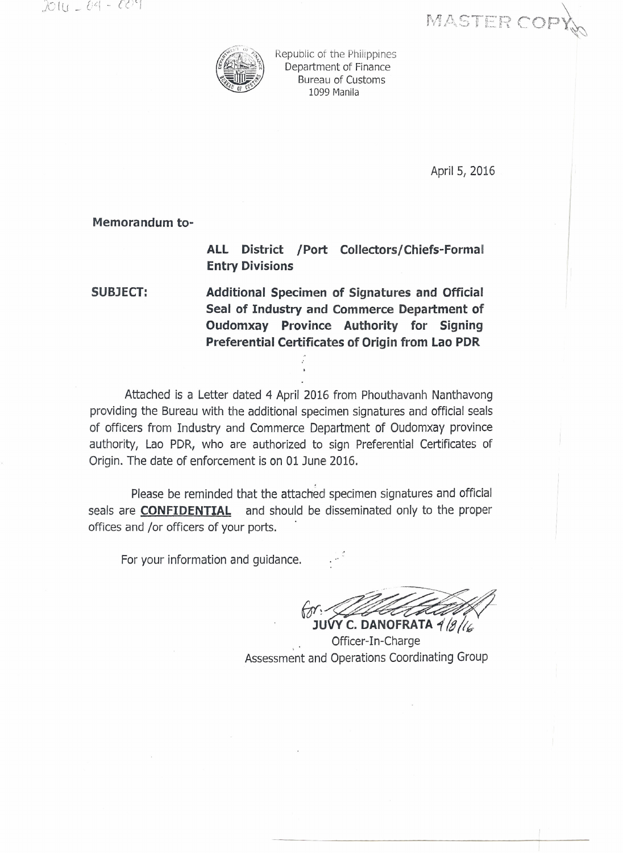MASTER COP



Republic of the Philippines Department of Finance Bureau of Customs 1099 Manila

April 5, 2016

Memorandum to-

**ALL District /Port Collectors/Chiefs-Formal Entry Divisions**

**SUBJECT: Additional Specimen of Signatures and Official Seal of Industry and Commerce Department of Oudomxay Province Authority for Signing Preferential Certificates of Origin from Lao PDR**

Attached is a Letter dated 4 April 2016 from Phouthavanh Nanthavong providing the Bureau with the additional specimen signatures and official seals of officers from Industry and Commerce Department of Oudomxay province authority, Lao PDR, who are authorized to sign Preferential Certificates of Origin. The date of enforcement is on 01 June 2016.

Please be reminded that the attached specimen signatures and official seals are **CONFIDENTIAL** and should be disseminated only to the proper offices and *lor* officers of your ports.

For your information and guidance.

 $\rightarrow$ *(or!~~~;2* J~~OFRATA 1*!g/t6*

Officer-In-Charge Assessment and Operations Coordinating Group